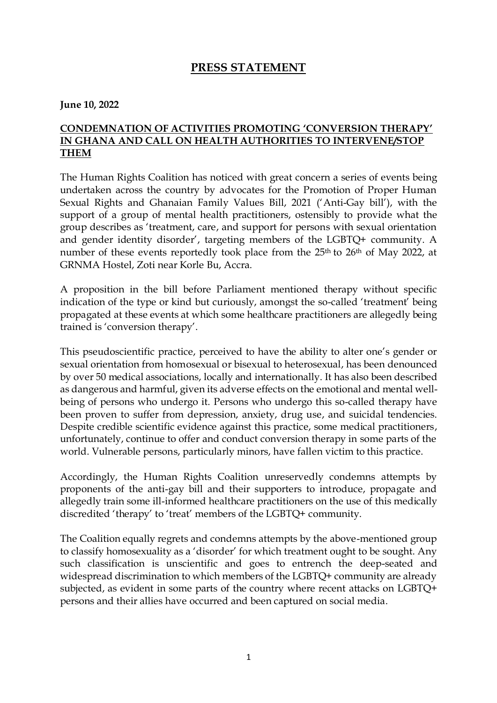## **PRESS STATEMENT**

**June 10, 2022**

## **CONDEMNATION OF ACTIVITIES PROMOTING 'CONVERSION THERAPY' IN GHANA AND CALL ON HEALTH AUTHORITIES TO INTERVENE/STOP THEM**

The Human Rights Coalition has noticed with great concern a series of events being undertaken across the country by advocates for the Promotion of Proper Human Sexual Rights and Ghanaian Family Values Bill, 2021 ('Anti-Gay bill'), with the support of a group of mental health practitioners, ostensibly to provide what the group describes as 'treatment, care, and support for persons with sexual orientation and gender identity disorder', targeting members of the LGBTQ+ community. A number of these events reportedly took place from the 25<sup>th</sup> to 26<sup>th</sup> of May 2022, at GRNMA Hostel, Zoti near Korle Bu, Accra.

A proposition in the bill before Parliament mentioned therapy without specific indication of the type or kind but curiously, amongst the so-called 'treatment' being propagated at these events at which some healthcare practitioners are allegedly being trained is 'conversion therapy'.

This pseudoscientific practice, perceived to have the ability to alter one's gender or sexual orientation from homosexual or bisexual to heterosexual, has been denounced by over 50 medical associations, locally and internationally. It has also been described as dangerous and harmful, given its adverse effects on the emotional and mental wellbeing of persons who undergo it. Persons who undergo this so-called therapy have been proven to suffer from depression, anxiety, drug use, and suicidal tendencies. Despite credible scientific evidence against this practice, some medical practitioners, unfortunately, continue to offer and conduct conversion therapy in some parts of the world. Vulnerable persons, particularly minors, have fallen victim to this practice.

Accordingly, the Human Rights Coalition unreservedly condemns attempts by proponents of the anti-gay bill and their supporters to introduce, propagate and allegedly train some ill-informed healthcare practitioners on the use of this medically discredited 'therapy' to 'treat' members of the LGBTQ+ community.

The Coalition equally regrets and condemns attempts by the above-mentioned group to classify homosexuality as a 'disorder' for which treatment ought to be sought. Any such classification is unscientific and goes to entrench the deep-seated and widespread discrimination to which members of the LGBTQ+ community are already subjected, as evident in some parts of the country where recent attacks on LGBTQ+ persons and their allies have occurred and been captured on social media.